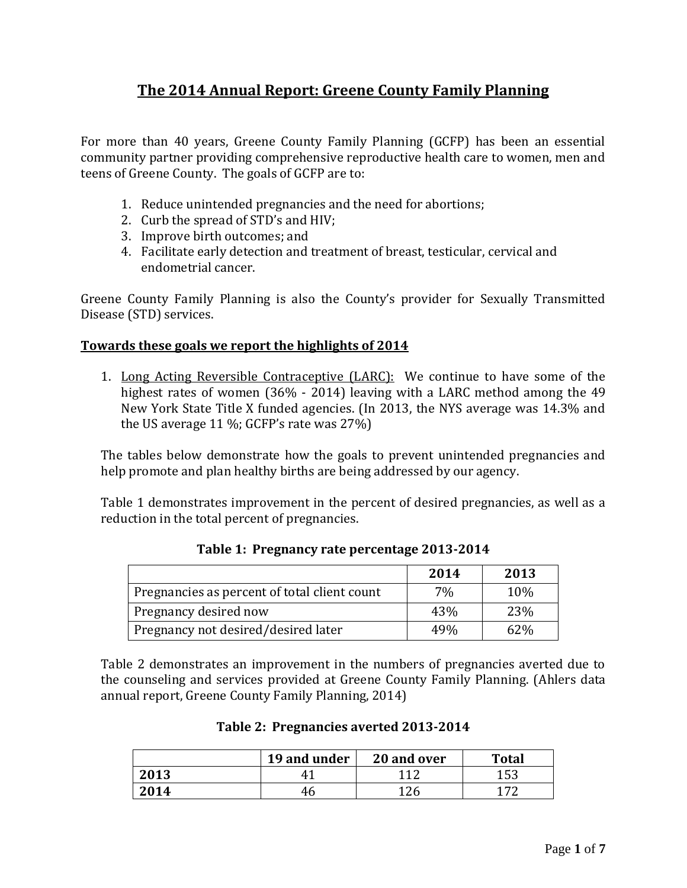# **The 2014 Annual Report: Greene County Family Planning**

For more than 40 years, Greene County Family Planning (GCFP) has been an essential community partner providing comprehensive reproductive health care to women, men and teens of Greene County. The goals of GCFP are to:

- 1. Reduce unintended pregnancies and the need for abortions;
- 2. Curb the spread of STD's and HIV;
- 3. Improve birth outcomes; and
- 4. Facilitate early detection and treatment of breast, testicular, cervical and endometrial cancer.

Greene County Family Planning is also the County's provider for Sexually Transmitted Disease (STD) services.

### **Towards these goals we report the highlights of 2014**

1. Long Acting Reversible Contraceptive (LARC): We continue to have some of the highest rates of women (36% - 2014) leaving with a LARC method among the 49 New York State Title X funded agencies. (In 2013, the NYS average was 14.3% and the US average 11 %; GCFP's rate was 27%)

The tables below demonstrate how the goals to prevent unintended pregnancies and help promote and plan healthy births are being addressed by our agency.

Table 1 demonstrates improvement in the percent of desired pregnancies, as well as a reduction in the total percent of pregnancies.

|                                              | 2014 | 2013 |
|----------------------------------------------|------|------|
| Pregnancies as percent of total client count | 7%   | 10%  |
| Pregnancy desired now                        | 43%  | 23%  |
| Pregnancy not desired/desired later          | 49%  | 62%  |

**Table 1: Pregnancy rate percentage 2013-2014**

Table 2 demonstrates an improvement in the numbers of pregnancies averted due to the counseling and services provided at Greene County Family Planning. (Ahlers data annual report, Greene County Family Planning, 2014)

|      | 19 and under | 20 and over | <b>Total</b> |
|------|--------------|-------------|--------------|
| 2013 |              |             | 153<br>⊥ບພ   |
| 2014 |              |             | ר די         |

#### **Table 2: Pregnancies averted 2013-2014**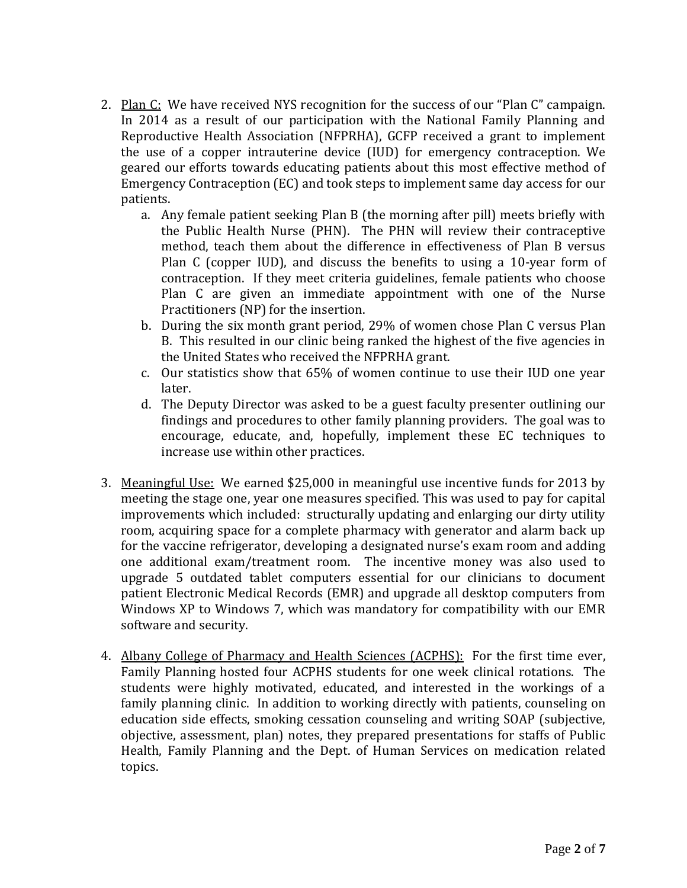- 2. Plan  $C$ : We have received NYS recognition for the success of our "Plan  $C$ " campaign. In 2014 as a result of our participation with the National Family Planning and Reproductive Health Association (NFPRHA), GCFP received a grant to implement the use of a copper intrauterine device (IUD) for emergency contraception. We geared our efforts towards educating patients about this most effective method of Emergency Contraception (EC) and took steps to implement same day access for our patients.
	- a. Any female patient seeking Plan B (the morning after pill) meets briefly with the Public Health Nurse (PHN). The PHN will review their contraceptive method, teach them about the difference in effectiveness of Plan B versus Plan C (copper IUD), and discuss the benefits to using a 10-year form of contraception. If they meet criteria guidelines, female patients who choose Plan C are given an immediate appointment with one of the Nurse Practitioners (NP) for the insertion.
	- b. During the six month grant period, 29% of women chose Plan C versus Plan B. This resulted in our clinic being ranked the highest of the five agencies in the United States who received the NFPRHA grant.
	- c. Our statistics show that 65% of women continue to use their IUD one year later.
	- d. The Deputy Director was asked to be a guest faculty presenter outlining our findings and procedures to other family planning providers. The goal was to encourage, educate, and, hopefully, implement these EC techniques to increase use within other practices.
- 3. Meaningful Use: We earned \$25,000 in meaningful use incentive funds for 2013 by meeting the stage one, year one measures specified. This was used to pay for capital improvements which included: structurally updating and enlarging our dirty utility room, acquiring space for a complete pharmacy with generator and alarm back up for the vaccine refrigerator, developing a designated nurse's exam room and adding one additional exam/treatment room. The incentive money was also used to upgrade 5 outdated tablet computers essential for our clinicians to document patient Electronic Medical Records (EMR) and upgrade all desktop computers from Windows XP to Windows 7, which was mandatory for compatibility with our EMR software and security.
- 4. Albany College of Pharmacy and Health Sciences (ACPHS): For the first time ever, Family Planning hosted four ACPHS students for one week clinical rotations. The students were highly motivated, educated, and interested in the workings of a family planning clinic. In addition to working directly with patients, counseling on education side effects, smoking cessation counseling and writing SOAP (subjective, objective, assessment, plan) notes, they prepared presentations for staffs of Public Health, Family Planning and the Dept. of Human Services on medication related topics.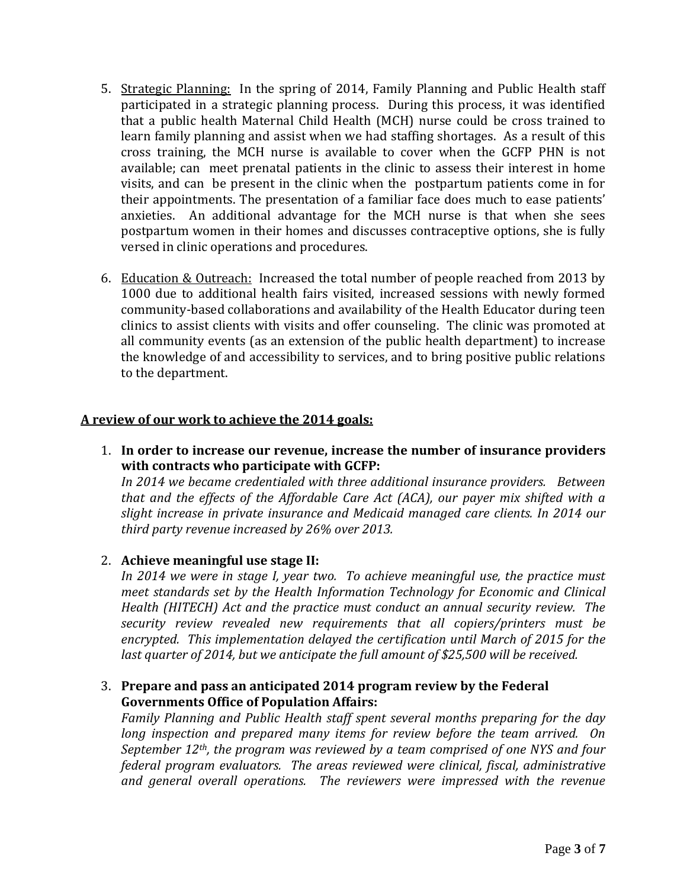- 5. Strategic Planning: In the spring of 2014, Family Planning and Public Health staff participated in a strategic planning process. During this process, it was identified that a public health Maternal Child Health (MCH) nurse could be cross trained to learn family planning and assist when we had staffing shortages. As a result of this cross training, the MCH nurse is available to cover when the GCFP PHN is not available; can meet prenatal patients in the clinic to assess their interest in home visits, and can be present in the clinic when the postpartum patients come in for their appointments. The presentation of a familiar face does much to ease patients' anxieties. An additional advantage for the MCH nurse is that when she sees postpartum women in their homes and discusses contraceptive options, she is fully versed in clinic operations and procedures.
- 6. Education & Outreach: Increased the total number of people reached from 2013 by 1000 due to additional health fairs visited, increased sessions with newly formed community-based collaborations and availability of the Health Educator during teen clinics to assist clients with visits and offer counseling. The clinic was promoted at all community events (as an extension of the public health department) to increase the knowledge of and accessibility to services, and to bring positive public relations to the department.

### **A review of our work to achieve the 2014 goals:**

1. **In order to increase our revenue, increase the number of insurance providers with contracts who participate with GCFP:**

*In 2014 we became credentialed with three additional insurance providers. Between that and the effects of the Affordable Care Act (ACA), our payer mix shifted with a slight increase in private insurance and Medicaid managed care clients. In 2014 our third party revenue increased by 26% over 2013.*

### 2. **Achieve meaningful use stage II:**

In 2014 we were in stage I, year two. To achieve meaningful use, the practice must *meet standards set by the Health Information Technology for Economic and Clinical Health (HITECH) Act and the practice must conduct an annual security review. The security review revealed new requirements that all copiers/printers must be encrypted. This implementation delayed the certification until March of 2015 for the*  last quarter of 2014, but we anticipate the full amount of \$25,500 will be received.

### 3. **Prepare and pass an anticipated 2014 program review by the Federal Governments Office of Population Affairs:**

*Family Planning and Public Health staff spent several months preparing for the day long inspection and prepared many items for review before the team arrived. On September 12th, the program was reviewed by a team comprised of one NYS and four federal program evaluators. The areas reviewed were clinical, fiscal, administrative and general overall operations. The reviewers were impressed with the revenue*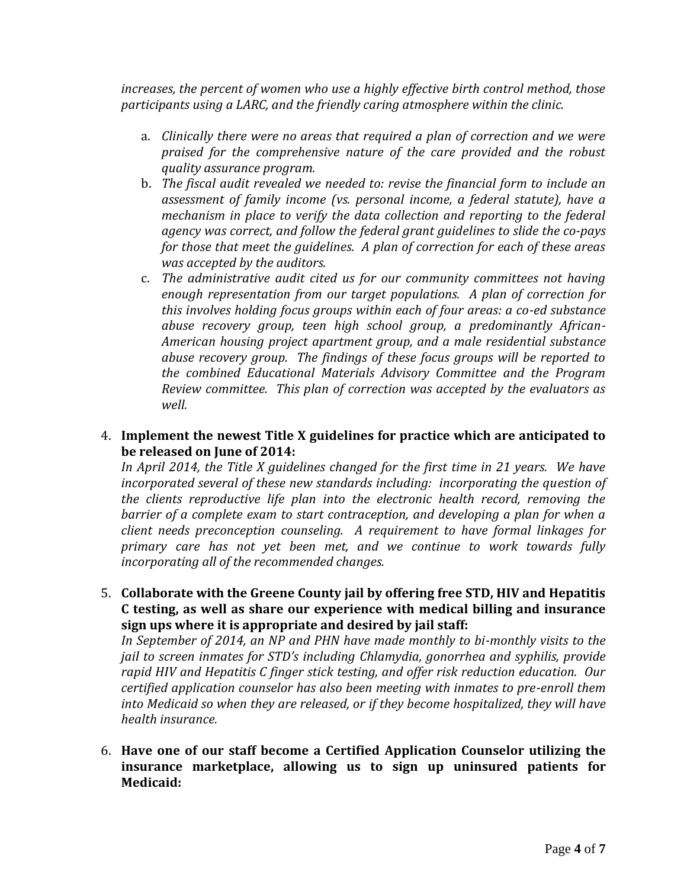*increases, the percent of women who use a highly effective birth control method, those participants using a LARC, and the friendly caring atmosphere within the clinic.*

- a. *Clinically there were no areas that required a plan of correction and we were praised for the comprehensive nature of the care provided and the robust quality assurance program.*
- b. The fiscal audit revealed we needed to: revise the financial form to include an *assessment of family income (vs. personal income, a federal statute), have a mechanism in place to verify the data collection and reporting to the federal agency was correct, and follow the federal grant guidelines to slide the co-pays for those that meet the guidelines. A plan of correction for each of these areas was accepted by the auditors.*
- c. *The administrative audit cited us for our community committees not having enough representation from our target populations. A plan of correction for this involves holding focus groups within each of four areas: a co-ed substance abuse recovery group, teen high school group, a predominantly African-American housing project apartment group, and a male residential substance abuse recovery group. The findings of these focus groups will be reported to the combined Educational Materials Advisory Committee and the Program Review committee. This plan of correction was accepted by the evaluators as well.*

#### 4. **Implement the newest Title X guidelines for practice which are anticipated to be released on June of 2014:**

*In April 2014, the Title X guidelines changed for the first time in 21 years. We have incorporated several of these new standards including: incorporating the question of the clients reproductive life plan into the electronic health record, removing the*  barrier of a complete exam to start contraception, and developing a plan for when a *client needs preconception counseling. A requirement to have formal linkages for primary care has not yet been met, and we continue to work towards fully incorporating all of the recommended changes.*

5. **Collaborate with the Greene County jail by offering free STD, HIV and Hepatitis C testing, as well as share our experience with medical billing and insurance sign ups where it is appropriate and desired by jail staff:**

*In September of 2014, an NP and PHN have made monthly to bi-monthly visits to the jail to screen inmates for STD's including Chlamydia, gonorrhea and syphilis, provide rapid HIV and Hepatitis C finger stick testing, and offer risk reduction education. Our certified application counselor has also been meeting with inmates to pre-enroll them into Medicaid so when they are released, or if they become hospitalized, they will have health insurance.*

6. **Have one of our staff become a Certified Application Counselor utilizing the insurance marketplace, allowing us to sign up uninsured patients for Medicaid:**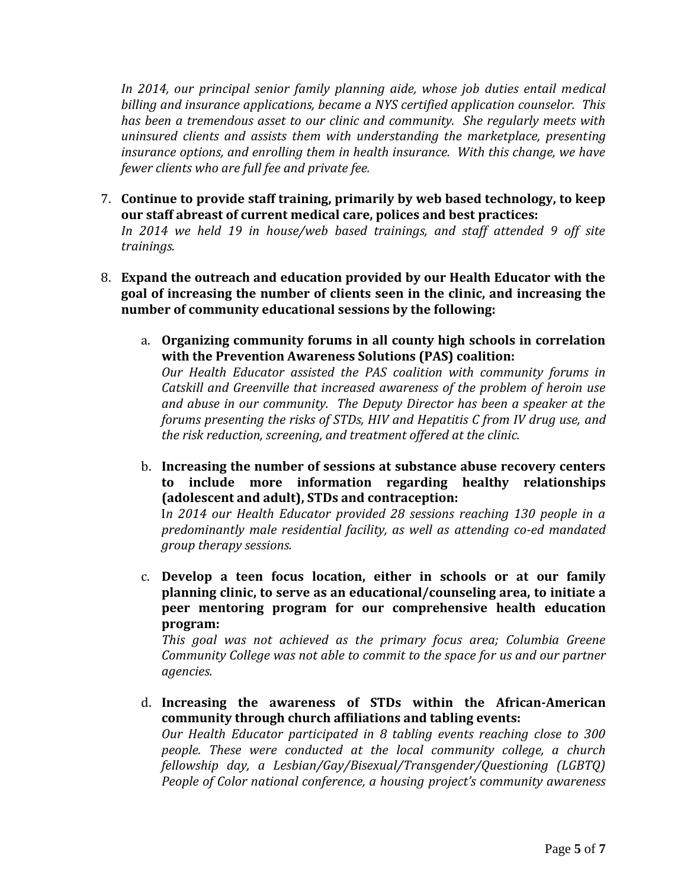In 2014, our principal senior family planning aide, whose job duties entail medical *billing and insurance applications, became a NYS certified application counselor. This has been a tremendous asset to our clinic and community. She regularly meets with uninsured clients and assists them with understanding the marketplace, presenting*  insurance options, and enrolling them in health insurance. With this change, we have *fewer clients who are full fee and private fee.*

7. **Continue to provide staff training, primarily by web based technology, to keep our staff abreast of current medical care, polices and best practices:** *In 2014 we held 19 in house/web based trainings, and staff attended 9 off site* 

*trainings.* 

- 8. **Expand the outreach and education provided by our Health Educator with the goal of increasing the number of clients seen in the clinic, and increasing the number of community educational sessions by the following:** 
	- a. **Organizing community forums in all county high schools in correlation with the Prevention Awareness Solutions (PAS) coalition:**

*Our Health Educator assisted the PAS coalition with community forums in Catskill and Greenville that increased awareness of the problem of heroin use and abuse in our community. The Deputy Director has been a speaker at the forums presenting the risks of STDs, HIV and Hepatitis C from IV drug use, and the risk reduction, screening, and treatment offered at the clinic.*

b. **Increasing the number of sessions at substance abuse recovery centers to include more information regarding healthy relationships (adolescent and adult), STDs and contraception:**

I*n 2014 our Health Educator provided 28 sessions reaching 130 people in a predominantly male residential facility, as well as attending co-ed mandated group therapy sessions.*

c. **Develop a teen focus location, either in schools or at our family planning clinic, to serve as an educational/counseling area, to initiate a peer mentoring program for our comprehensive health education program:**

*This goal was not achieved as the primary focus area; Columbia Greene Community College was not able to commit to the space for us and our partner agencies.* 

d. **Increasing the awareness of STDs within the African-American community through church affiliations and tabling events:** *Our Health Educator participated in 8 tabling events reaching close to 300 people. These were conducted at the local community college, a church fellowship day, a Lesbian/Gay/Bisexual/Transgender/Questioning (LGBTQ) People of Color national conference, a housing project's community awareness*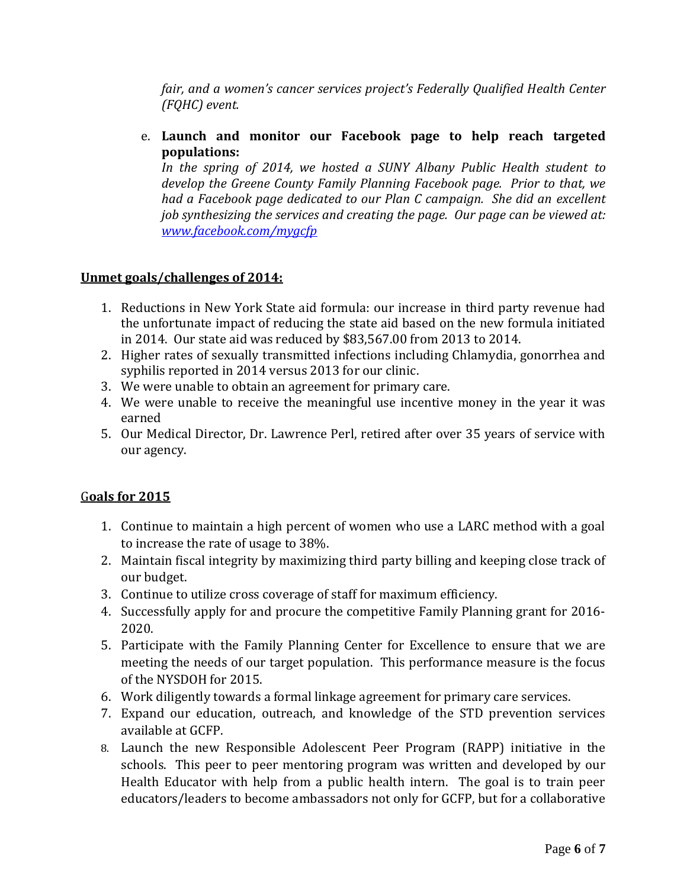*fair, and a women's cancer services project's Federally Qualified Health Center (FQHC) event.*

e. **Launch and monitor our Facebook page to help reach targeted populations:**

*In the spring of 2014, we hosted a SUNY Albany Public Health student to develop the Greene County Family Planning Facebook page. Prior to that, we had a Facebook page dedicated to our Plan C campaign. She did an excellent job synthesizing the services and creating the page. Our page can be viewed at: [www.facebook.com/mygcfp](http://www.facebook.com/mygcfp)*

## **Unmet goals/challenges of 2014:**

- 1. Reductions in New York State aid formula: our increase in third party revenue had the unfortunate impact of reducing the state aid based on the new formula initiated in 2014. Our state aid was reduced by \$83,567.00 from 2013 to 2014.
- 2. Higher rates of sexually transmitted infections including Chlamydia, gonorrhea and syphilis reported in 2014 versus 2013 for our clinic.
- 3. We were unable to obtain an agreement for primary care.
- 4. We were unable to receive the meaningful use incentive money in the year it was earned
- 5. Our Medical Director, Dr. Lawrence Perl, retired after over 35 years of service with our agency.

### G**oals for 2015**

- 1. Continue to maintain a high percent of women who use a LARC method with a goal to increase the rate of usage to 38%.
- 2. Maintain fiscal integrity by maximizing third party billing and keeping close track of our budget.
- 3. Continue to utilize cross coverage of staff for maximum efficiency.
- 4. Successfully apply for and procure the competitive Family Planning grant for 2016- 2020.
- 5. Participate with the Family Planning Center for Excellence to ensure that we are meeting the needs of our target population. This performance measure is the focus of the NYSDOH for 2015.
- 6. Work diligently towards a formal linkage agreement for primary care services.
- 7. Expand our education, outreach, and knowledge of the STD prevention services available at GCFP.
- 8. Launch the new Responsible Adolescent Peer Program (RAPP) initiative in the schools. This peer to peer mentoring program was written and developed by our Health Educator with help from a public health intern. The goal is to train peer educators/leaders to become ambassadors not only for GCFP, but for a collaborative